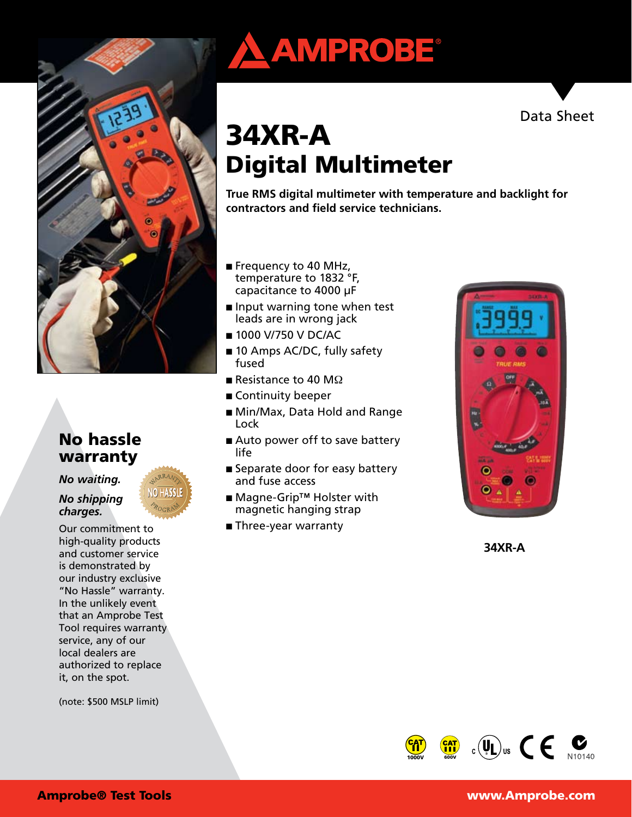

# No hassle warranty

#### *No waiting.*

#### *No shipping charges.*

Our commitment to high-quality products and customer service is demonstrated by our industry exclusive "No Hassle" warranty. In the unlikely event that an Amprobe Test Tool requires warranty service, any of our local dealers are authorized to replace it, on the spot.

(note: \$500 MSLP limit)





# 34XR-A Digital Multimeter

**True RMS digital multimeter with temperature and backlight for contractors and field service technicians.**

- Frequency to 40 MHz, temperature to 1832 °F, capacitance to 4000 μF
- Input warning tone when test leads are in wrong jack
- 1000 V/750 V DC/AC
- 10 Amps AC/DC, fully safety fused
- Resistance to 40 M $\Omega$
- Continuity beeper
- Min/Max, Data Hold and Range Lock
- Auto power off to save battery life
- Separate door for easy battery and fuse access
- Magne-Grip<sup>™</sup> Holster with magnetic hanging strap
- Three-year warranty



**34XR-A**

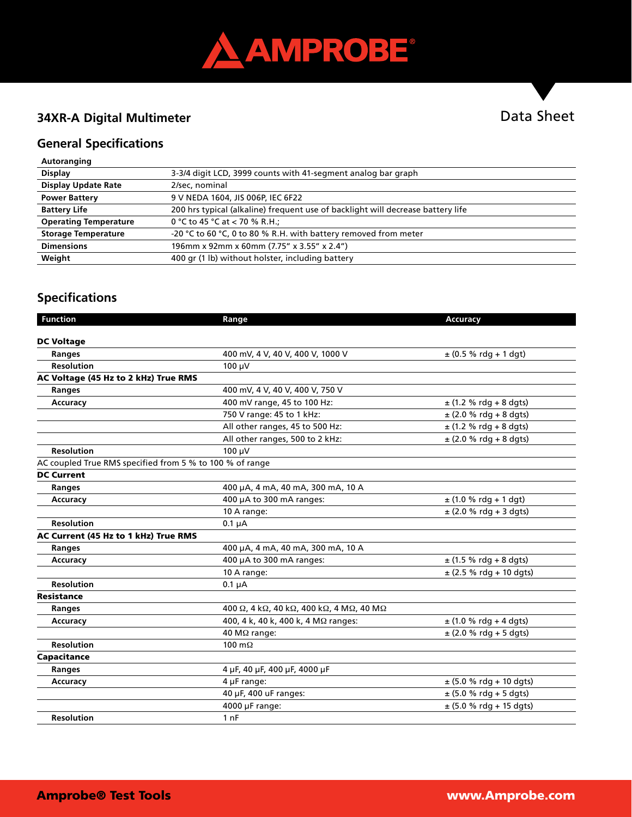

# **34XR-A Digital Multimeter**

# Data Sheet

### **General Specifications**

| Autoranging |  |
|-------------|--|
|             |  |

| <b>Display</b>               | 3-3/4 digit LCD, 3999 counts with 41-segment analog bar graph                   |
|------------------------------|---------------------------------------------------------------------------------|
| <b>Display Update Rate</b>   | 2/sec, nominal                                                                  |
| <b>Power Battery</b>         | 9 V NEDA 1604, JIS 006P, IEC 6F22                                               |
| <b>Battery Life</b>          | 200 hrs typical (alkaline) frequent use of backlight will decrease battery life |
| <b>Operating Temperature</b> | 0 °C to 45 °C at $<$ 70 % R.H.;                                                 |
| <b>Storage Temperature</b>   | -20 °C to 60 °C, 0 to 80 % R.H. with battery removed from meter                 |
| <b>Dimensions</b>            | 196mm x 92mm x 60mm (7.75" x 3.55" x 2.4")                                      |
| Weight                       | 400 gr (1 lb) without holster, including battery                                |

# **Specifications**

| <b>Function</b>                                          | Range                                   | Accuracy                    |
|----------------------------------------------------------|-----------------------------------------|-----------------------------|
|                                                          |                                         |                             |
| <b>DC Voltage</b>                                        |                                         |                             |
| Ranges                                                   | 400 mV, 4 V, 40 V, 400 V, 1000 V        | $\pm$ (0.5 % rdg + 1 dgt)   |
| <b>Resolution</b>                                        | 100 uV                                  |                             |
| AC Voltage (45 Hz to 2 kHz) True RMS                     |                                         |                             |
| <b>Ranges</b>                                            | 400 mV, 4 V, 40 V, 400 V, 750 V         |                             |
| Accuracy                                                 | 400 mV range, 45 to 100 Hz:             | $\pm$ (1.2 % rdg + 8 dgts)  |
|                                                          | 750 V range: 45 to 1 kHz:               | $\pm$ (2.0 % rdg + 8 dgts)  |
|                                                          | All other ranges, 45 to 500 Hz:         | $\pm$ (1.2 % rdg + 8 dgts)  |
|                                                          | All other ranges, 500 to 2 kHz:         | $\pm$ (2.0 % rdg + 8 dgts)  |
| <b>Resolution</b>                                        | 100 µV                                  |                             |
| AC coupled True RMS specified from 5 % to 100 % of range |                                         |                             |
| <b>DC Current</b>                                        |                                         |                             |
| <b>Ranges</b>                                            | 400 µA, 4 mA, 40 mA, 300 mA, 10 A       |                             |
| Accuracy                                                 | 400 µA to 300 mA ranges:                | $\pm$ (1.0 % rdg + 1 dgt)   |
|                                                          | 10 A range:                             | $\pm$ (2.0 % rdg + 3 dgts)  |
| <b>Resolution</b>                                        | $0.1 \mu A$                             |                             |
| AC Current (45 Hz to 1 kHz) True RMS                     |                                         |                             |
| Ranges                                                   | 400 µA, 4 mA, 40 mA, 300 mA, 10 A       |                             |
| Accuracy                                                 | 400 µA to 300 mA ranges:                | $\pm$ (1.5 % rdg + 8 dgts)  |
|                                                          | 10 A range:                             | $\pm$ (2.5 % rdg + 10 dgts) |
| <b>Resolution</b>                                        | $0.1 \mu A$                             |                             |
| Resistance                                               |                                         |                             |
| Ranges                                                   | 400 Ω, 4 kΩ, 40 kΩ, 400 kΩ, 4 MΩ, 40 MΩ |                             |
| Accuracy                                                 | 400, 4 k, 40 k, 400 k, 4 MΩ ranges:     | $\pm$ (1.0 % rdg + 4 dgts)  |
|                                                          | 40 MΩ range:                            | $\pm$ (2.0 % rdg + 5 dgts)  |
| <b>Resolution</b>                                        | 100 $m\Omega$                           |                             |
| Capacitance                                              |                                         |                             |
| Ranges                                                   | 4 µF, 40 µF, 400 µF, 4000 µF            |                             |
| Accuracy                                                 | 4 µF range:                             | $\pm$ (5.0 % rdg + 10 dgts) |
|                                                          | 40 µF, 400 uF ranges:                   | $\pm$ (5.0 % rdg + 5 dgts)  |
|                                                          | 4000 µF range:                          | $\pm$ (5.0 % rdg + 15 dgts) |
| <b>Resolution</b>                                        | 1 <sub>nF</sub>                         |                             |
|                                                          |                                         |                             |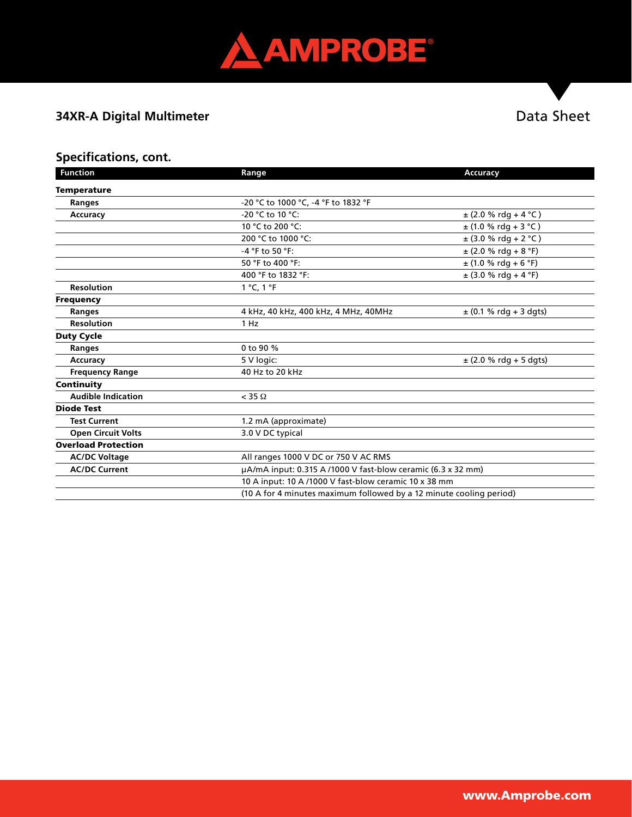

# **34XR-A Digital Multimeter**

# Data Sheet

## **Specifications, cont.**

| <b>Function</b>            | Range                                                               | Accuracy                   |
|----------------------------|---------------------------------------------------------------------|----------------------------|
| <b>Temperature</b>         |                                                                     |                            |
| Ranges                     | -20 °C to 1000 °C, -4 °F to 1832 °F                                 |                            |
| <b>Accuracy</b>            | -20 °C to 10 °C:                                                    | $\pm$ (2.0 % rdg + 4 °C)   |
|                            | 10 °C to 200 °C:                                                    | $\pm$ (1.0 % rdg + 3 °C)   |
|                            | 200 °C to 1000 °C:                                                  | $\pm$ (3.0 % rdg + 2 °C)   |
|                            | -4 °F to 50 °F:                                                     | $\pm$ (2.0 % rdg + 8 °F)   |
|                            | 50 °F to 400 °F:                                                    | $\pm$ (1.0 % rdg + 6 °F)   |
|                            | 400 °F to 1832 °F:                                                  | $\pm$ (3.0 % rdg + 4 °F)   |
| <b>Resolution</b>          | 1 °C, 1 °F                                                          |                            |
| <b>Frequency</b>           |                                                                     |                            |
| <b>Ranges</b>              | 4 kHz, 40 kHz, 400 kHz, 4 MHz, 40MHz                                | $\pm$ (0.1 % rdg + 3 dgts) |
| <b>Resolution</b>          | 1 Hz                                                                |                            |
| <b>Duty Cycle</b>          |                                                                     |                            |
| Ranges                     | 0 to 90 %                                                           |                            |
| <b>Accuracy</b>            | 5 V logic:                                                          | $\pm$ (2.0 % rdg + 5 dgts) |
| <b>Frequency Range</b>     | 40 Hz to 20 kHz                                                     |                            |
| Continuity                 |                                                                     |                            |
| <b>Audible Indication</b>  | $<$ 35 $\Omega$                                                     |                            |
| <b>Diode Test</b>          |                                                                     |                            |
| <b>Test Current</b>        | 1.2 mA (approximate)                                                |                            |
| <b>Open Circuit Volts</b>  | 3.0 V DC typical                                                    |                            |
| <b>Overload Protection</b> |                                                                     |                            |
| <b>AC/DC Voltage</b>       | All ranges 1000 V DC or 750 V AC RMS                                |                            |
| <b>AC/DC Current</b>       | $\mu$ A/mA input: 0.315 A /1000 V fast-blow ceramic (6.3 x 32 mm)   |                            |
|                            | 10 A input: 10 A /1000 V fast-blow ceramic 10 x 38 mm               |                            |
|                            | (10 A for 4 minutes maximum followed by a 12 minute cooling period) |                            |